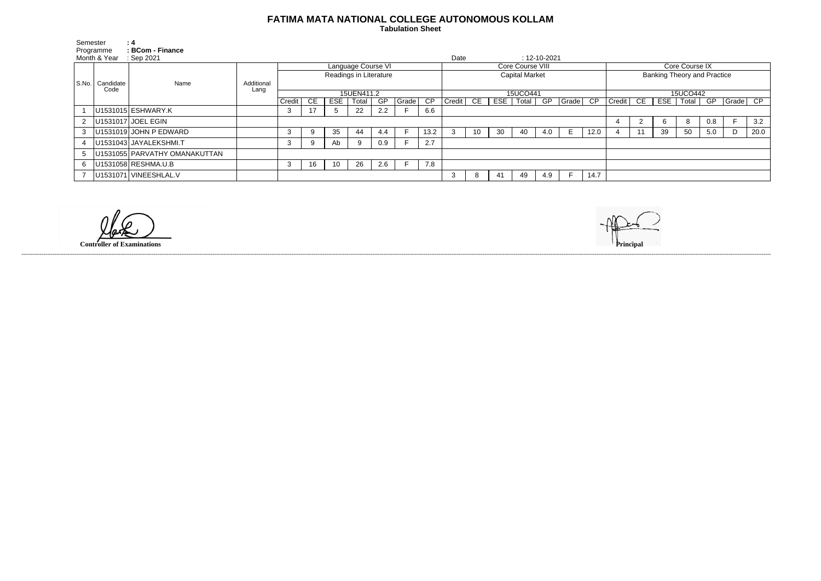## **FATIMA MATA NATIONAL COLLEGE AUTONOMOUS KOLLAM**

 **Tabulation Sheet** 

| Semester                  |                   | : 4                           |                    |                                              |    |            |       |     |       |                 |                       |    |     |       |                    |       |      |                                    |  |     |       |     |          |      |
|---------------------------|-------------------|-------------------------------|--------------------|----------------------------------------------|----|------------|-------|-----|-------|-----------------|-----------------------|----|-----|-------|--------------------|-------|------|------------------------------------|--|-----|-------|-----|----------|------|
| Programme<br>Month & Year |                   | : BCom - Finance<br>Sep 2021  |                    |                                              |    |            |       |     |       |                 | Date                  |    |     |       | $: 12 - 10 - 2021$ |       |      |                                    |  |     |       |     |          |      |
|                           | Candidate<br>Code | Name                          | Additional<br>Lang | Language Course VI<br>Readings in Literature |    |            |       |     |       |                 | Core Course VIII      |    |     |       |                    |       |      | Core Course IX                     |  |     |       |     |          |      |
| S.No.                     |                   |                               |                    |                                              |    |            |       |     |       |                 | <b>Capital Market</b> |    |     |       |                    |       |      | <b>Banking Theory and Practice</b> |  |     |       |     |          |      |
|                           |                   |                               |                    | 15UEN411.2                                   |    |            |       |     |       |                 | 15UCO441              |    |     |       |                    |       |      | 15UCO442                           |  |     |       |     |          |      |
|                           |                   |                               |                    | Credit                                       | CE | <b>ESE</b> | Total | GP  | Grade | $\overline{CP}$ | Credit                | CE | ESE | Total | GP                 | Grade | CP   | $Credit$ $CE$                      |  | ESE | Total | GP  | Grade CP |      |
|                           |                   | U1531015 ESHWARY.K            |                    | చ                                            | 17 | 5          | 22    | 2.2 |       | 6.6             |                       |    |     |       |                    |       |      |                                    |  |     |       |     |          |      |
|                           |                   | U1531017 JOEL EGIN            |                    |                                              |    |            |       |     |       |                 |                       |    |     |       |                    |       |      |                                    |  |     |       | 0.8 |          | 3.2  |
| 3                         |                   | U1531019 JOHN P EDWARD        |                    |                                              |    | 35         | 44    | 4.4 |       | 13.2            |                       | 10 | 30  | 40    | 4.0                | Е.    | 12.0 |                                    |  | 39  | 50    | 5.0 | D        | 20.0 |
|                           |                   | U1531043 JAYALEKSHMI.T        |                    | 3                                            |    | Ab         | 9     | 0.9 |       | 2.7             |                       |    |     |       |                    |       |      |                                    |  |     |       |     |          |      |
| 5                         |                   | U1531055 PARVATHY OMANAKUTTAN |                    |                                              |    |            |       |     |       |                 |                       |    |     |       |                    |       |      |                                    |  |     |       |     |          |      |
| 6.                        |                   | U1531058 RESHMA.U.B           |                    | 3                                            | 16 | 10         | 26    | 2.6 |       | 7.8             |                       |    |     |       |                    |       |      |                                    |  |     |       |     |          |      |
|                           |                   | U1531071 VINEESHLAL.V         |                    |                                              |    |            |       |     |       |                 |                       | Õ  |     | 49    | 4.9                |       | 14.7 |                                    |  |     |       |     |          |      |

------------------------------------------------------------------------------------------------------------------------------------------------------------------------------------------------------------------------------------------------------------------------------------------------------------------------------------------------------------------------------------------------------------------------

**Controller of Examinations**